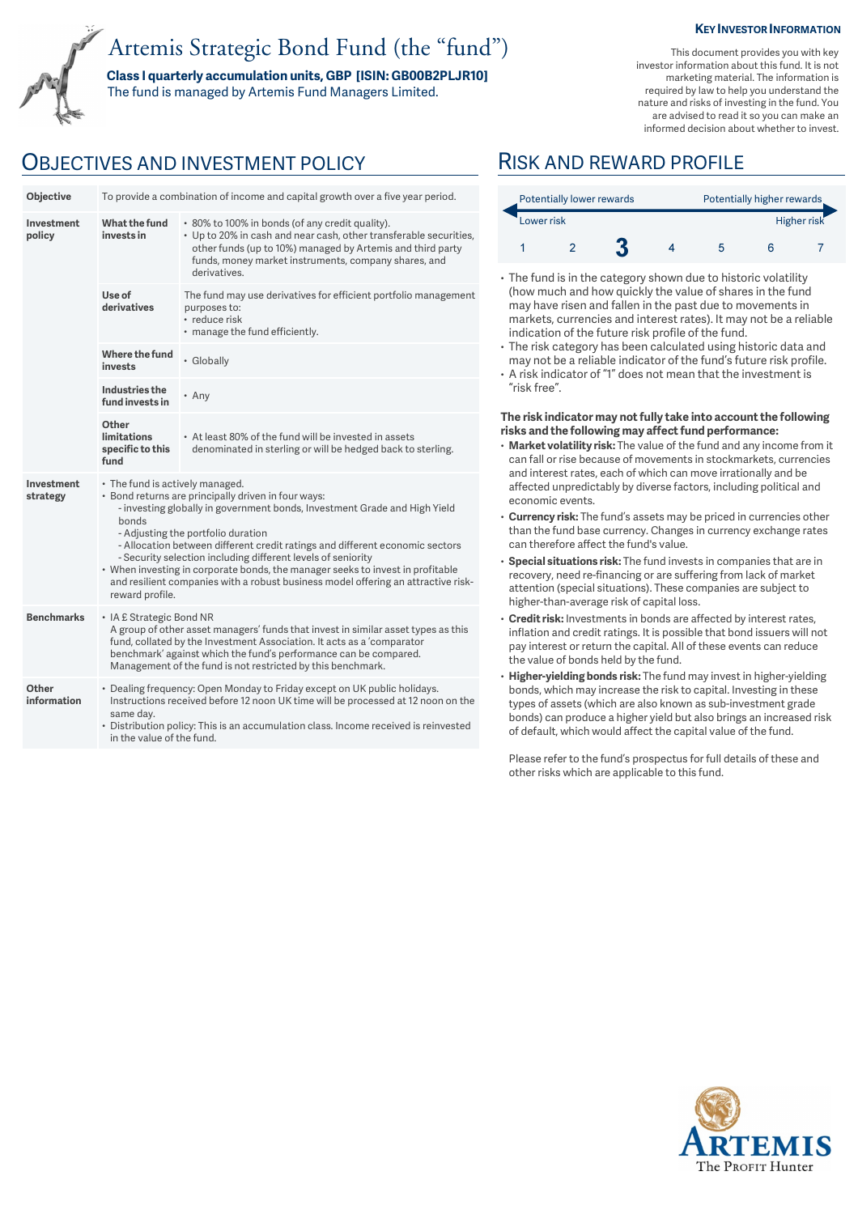## Artemis Strategic Bond Fund (the "fund")

**Class I quarterly accumulation units, GBP [ISIN: GB00B2PLJR10]**  The fund is managed by Artemis Fund Managers Limited.

## OBJECTIVES AND INVESTMENT POLICY RISK AND REWARD PROFILE

| Objective              | To provide a combination of income and capital growth over a five year period. |                                                                                                                                                                                                                                                                                                                                                                                                                                                                                                                                  |  |  |  |  |
|------------------------|--------------------------------------------------------------------------------|----------------------------------------------------------------------------------------------------------------------------------------------------------------------------------------------------------------------------------------------------------------------------------------------------------------------------------------------------------------------------------------------------------------------------------------------------------------------------------------------------------------------------------|--|--|--|--|
| Investment<br>policy   | What the fund<br>invests in                                                    | * 80% to 100% in bonds (of any credit quality).<br>• Up to 20% in cash and near cash, other transferable securities,<br>other funds (up to 10%) managed by Artemis and third party<br>funds, money market instruments, company shares, and<br>derivatives.                                                                                                                                                                                                                                                                       |  |  |  |  |
|                        | Use of<br>derivatives                                                          | The fund may use derivatives for efficient portfolio management<br>purposes to:<br>• reduce risk<br>• manage the fund efficiently.                                                                                                                                                                                                                                                                                                                                                                                               |  |  |  |  |
|                        | Where the fund<br>invests                                                      | • Globally                                                                                                                                                                                                                                                                                                                                                                                                                                                                                                                       |  |  |  |  |
|                        | <b>Industries the</b><br>fund invests in                                       | • Any                                                                                                                                                                                                                                                                                                                                                                                                                                                                                                                            |  |  |  |  |
|                        | Other<br><b>limitations</b><br>specific to this<br>fund                        | • At least 80% of the fund will be invested in assets<br>denominated in sterling or will be hedged back to sterling.                                                                                                                                                                                                                                                                                                                                                                                                             |  |  |  |  |
| Investment<br>strategy | bonds<br>reward profile.                                                       | • The fund is actively managed.<br>• Bond returns are principally driven in four ways:<br>- investing globally in government bonds, Investment Grade and High Yield<br>- Adjusting the portfolio duration<br>- Allocation between different credit ratings and different economic sectors<br>- Security selection including different levels of seniority<br>• When investing in corporate bonds, the manager seeks to invest in profitable<br>and resilient companies with a robust business model offering an attractive risk- |  |  |  |  |
| <b>Benchmarks</b>      |                                                                                | • IA £ Strategic Bond NR<br>A group of other asset managers' funds that invest in similar asset types as this<br>fund, collated by the Investment Association. It acts as a 'comparator<br>benchmark' against which the fund's performance can be compared.<br>Management of the fund is not restricted by this benchmark.                                                                                                                                                                                                       |  |  |  |  |
| Other<br>information   | same day.<br>in the value of the fund                                          | • Dealing frequency: Open Monday to Friday except on UK public holidays.<br>Instructions received before 12 noon UK time will be processed at 12 noon on the<br>• Distribution policy: This is an accumulation class. Income received is reinvested                                                                                                                                                                                                                                                                              |  |  |  |  |

# informed decision about whether to invest.

|            | Potentially lower rewards |  |  |  | Potentially higher rewards |             |  |
|------------|---------------------------|--|--|--|----------------------------|-------------|--|
| Lower risk |                           |  |  |  |                            | Higher risk |  |
|            |                           |  |  |  |                            |             |  |

- The fund is in the category shown due to historic volatility (how much and how quickly the value of shares in the fund may have risen and fallen in the past due to movements in markets, currencies and interest rates). It may not be a reliable indication of the future risk profile of the fund.
- The risk category has been calculated using historic data and may not be a reliable indicator of the fund's future risk profile.
- A risk indicator of "1" does not mean that the investment is "risk free".

#### **The risk indicator may not fully take into account the following risks and the following may affect fund performance:**

- **Market volatility risk:** The value of the fund and any income from it can fall or rise because of movements in stockmarkets, currencies and interest rates, each of which can move irrationally and be affected unpredictably by diverse factors, including political and economic events.
- **Currency risk:** The fund's assets may be priced in currencies other than the fund base currency. Changes in currency exchange rates can therefore affect the fund's value.
- **Special situations risk:** The fund invests in companies that are in recovery, need re-financing or are suffering from lack of market attention (special situations). These companies are subject to higher-than-average risk of capital loss.
- **Credit risk:** Investments in bonds are affected by interest rates, inflation and credit ratings. It is possible that bond issuers will not pay interest or return the capital. All of these events can reduce the value of bonds held by the fund.
- **Higher-yielding bonds risk:** The fund may invest in higher-yielding bonds, which may increase the risk to capital. Investing in these types of assets (which are also known as sub-investment grade bonds) can produce a higher yield but also brings an increased risk of default, which would affect the capital value of the fund.

Please refer to the fund's prospectus for full details of these and other risks which are applicable to this fund.



#### **KEY INVESTOR INFORMATION**

This document provides you with key investor information about this fund. It is not marketing material. The information is required by law to help you understand the nature and risks of investing in the fund. You are advised to read it so you can make an